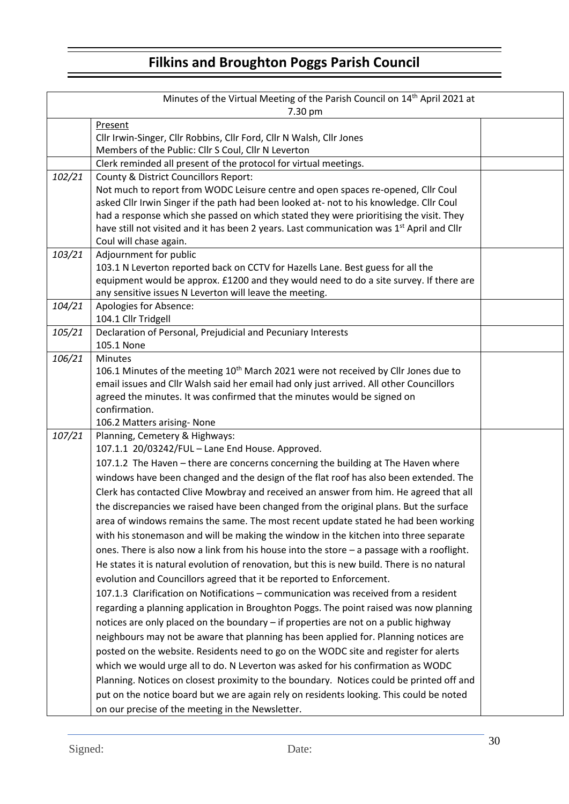## **Filkins and Broughton Poggs Parish Council**

| Minutes of the Virtual Meeting of the Parish Council on 14 <sup>th</sup> April 2021 at |                                                                                                       |  |  |  |
|----------------------------------------------------------------------------------------|-------------------------------------------------------------------------------------------------------|--|--|--|
| 7.30 pm                                                                                |                                                                                                       |  |  |  |
|                                                                                        | Present<br>Cllr Irwin-Singer, Cllr Robbins, Cllr Ford, Cllr N Walsh, Cllr Jones                       |  |  |  |
|                                                                                        | Members of the Public: Cllr S Coul, Cllr N Leverton                                                   |  |  |  |
|                                                                                        | Clerk reminded all present of the protocol for virtual meetings.                                      |  |  |  |
| 102/21                                                                                 | County & District Councillors Report:                                                                 |  |  |  |
|                                                                                        | Not much to report from WODC Leisure centre and open spaces re-opened, Cllr Coul                      |  |  |  |
|                                                                                        | asked Cllr Irwin Singer if the path had been looked at- not to his knowledge. Cllr Coul               |  |  |  |
|                                                                                        | had a response which she passed on which stated they were prioritising the visit. They                |  |  |  |
|                                                                                        | have still not visited and it has been 2 years. Last communication was 1 <sup>st</sup> April and Cllr |  |  |  |
|                                                                                        | Coul will chase again.                                                                                |  |  |  |
| 103/21                                                                                 | Adjournment for public                                                                                |  |  |  |
|                                                                                        | 103.1 N Leverton reported back on CCTV for Hazells Lane. Best guess for all the                       |  |  |  |
|                                                                                        | equipment would be approx. £1200 and they would need to do a site survey. If there are                |  |  |  |
|                                                                                        | any sensitive issues N Leverton will leave the meeting.                                               |  |  |  |
| 104/21                                                                                 | Apologies for Absence:                                                                                |  |  |  |
|                                                                                        | 104.1 Cllr Tridgell                                                                                   |  |  |  |
| 105/21                                                                                 | Declaration of Personal, Prejudicial and Pecuniary Interests                                          |  |  |  |
|                                                                                        | 105.1 None                                                                                            |  |  |  |
| 106/21                                                                                 | <b>Minutes</b>                                                                                        |  |  |  |
|                                                                                        | 106.1 Minutes of the meeting 10 <sup>th</sup> March 2021 were not received by Cllr Jones due to       |  |  |  |
|                                                                                        | email issues and Cllr Walsh said her email had only just arrived. All other Councillors               |  |  |  |
|                                                                                        | agreed the minutes. It was confirmed that the minutes would be signed on<br>confirmation.             |  |  |  |
|                                                                                        | 106.2 Matters arising- None                                                                           |  |  |  |
| 107/21                                                                                 | Planning, Cemetery & Highways:                                                                        |  |  |  |
|                                                                                        | 107.1.1 20/03242/FUL - Lane End House. Approved.                                                      |  |  |  |
|                                                                                        | 107.1.2 The Haven - there are concerns concerning the building at The Haven where                     |  |  |  |
|                                                                                        | windows have been changed and the design of the flat roof has also been extended. The                 |  |  |  |
|                                                                                        | Clerk has contacted Clive Mowbray and received an answer from him. He agreed that all                 |  |  |  |
|                                                                                        |                                                                                                       |  |  |  |
|                                                                                        | the discrepancies we raised have been changed from the original plans. But the surface                |  |  |  |
|                                                                                        | area of windows remains the same. The most recent update stated he had been working                   |  |  |  |
|                                                                                        | with his stonemason and will be making the window in the kitchen into three separate                  |  |  |  |
|                                                                                        | ones. There is also now a link from his house into the store $-$ a passage with a rooflight.          |  |  |  |
|                                                                                        | He states it is natural evolution of renovation, but this is new build. There is no natural           |  |  |  |
|                                                                                        | evolution and Councillors agreed that it be reported to Enforcement.                                  |  |  |  |
|                                                                                        | 107.1.3 Clarification on Notifications - communication was received from a resident                   |  |  |  |
|                                                                                        | regarding a planning application in Broughton Poggs. The point raised was now planning                |  |  |  |
|                                                                                        | notices are only placed on the boundary - if properties are not on a public highway                   |  |  |  |
|                                                                                        | neighbours may not be aware that planning has been applied for. Planning notices are                  |  |  |  |
|                                                                                        | posted on the website. Residents need to go on the WODC site and register for alerts                  |  |  |  |
|                                                                                        | which we would urge all to do. N Leverton was asked for his confirmation as WODC                      |  |  |  |
|                                                                                        | Planning. Notices on closest proximity to the boundary. Notices could be printed off and              |  |  |  |
|                                                                                        | put on the notice board but we are again rely on residents looking. This could be noted               |  |  |  |
|                                                                                        |                                                                                                       |  |  |  |
|                                                                                        | on our precise of the meeting in the Newsletter.                                                      |  |  |  |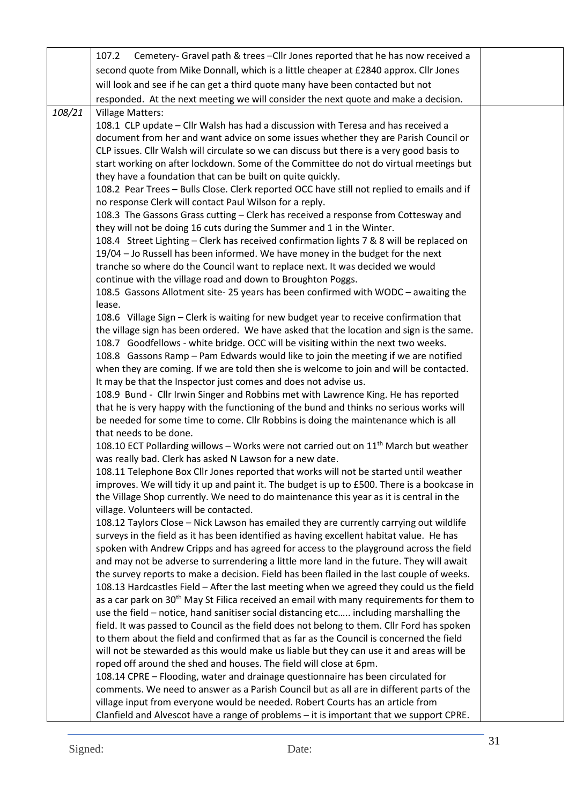|        | Cemetery- Gravel path & trees - Cllr Jones reported that he has now received a<br>107.2                                                                                                        |  |
|--------|------------------------------------------------------------------------------------------------------------------------------------------------------------------------------------------------|--|
|        | second quote from Mike Donnall, which is a little cheaper at £2840 approx. Cllr Jones                                                                                                          |  |
|        | will look and see if he can get a third quote many have been contacted but not                                                                                                                 |  |
|        | responded. At the next meeting we will consider the next quote and make a decision.                                                                                                            |  |
| 108/21 | <b>Village Matters:</b>                                                                                                                                                                        |  |
|        | 108.1 CLP update - Cllr Walsh has had a discussion with Teresa and has received a                                                                                                              |  |
|        | document from her and want advice on some issues whether they are Parish Council or                                                                                                            |  |
|        | CLP issues. Cllr Walsh will circulate so we can discuss but there is a very good basis to                                                                                                      |  |
|        | start working on after lockdown. Some of the Committee do not do virtual meetings but                                                                                                          |  |
|        | they have a foundation that can be built on quite quickly.                                                                                                                                     |  |
|        | 108.2 Pear Trees - Bulls Close. Clerk reported OCC have still not replied to emails and if                                                                                                     |  |
|        | no response Clerk will contact Paul Wilson for a reply.                                                                                                                                        |  |
|        | 108.3 The Gassons Grass cutting - Clerk has received a response from Cottesway and                                                                                                             |  |
|        | they will not be doing 16 cuts during the Summer and 1 in the Winter.                                                                                                                          |  |
|        | 108.4 Street Lighting - Clerk has received confirmation lights 7 & 8 will be replaced on<br>19/04 - Jo Russell has been informed. We have money in the budget for the next                     |  |
|        | tranche so where do the Council want to replace next. It was decided we would                                                                                                                  |  |
|        | continue with the village road and down to Broughton Poggs.                                                                                                                                    |  |
|        | 108.5 Gassons Allotment site-25 years has been confirmed with WODC - awaiting the                                                                                                              |  |
|        | lease.                                                                                                                                                                                         |  |
|        | 108.6 Village Sign - Clerk is waiting for new budget year to receive confirmation that                                                                                                         |  |
|        | the village sign has been ordered. We have asked that the location and sign is the same.                                                                                                       |  |
|        | 108.7 Goodfellows - white bridge. OCC will be visiting within the next two weeks.                                                                                                              |  |
|        | 108.8 Gassons Ramp - Pam Edwards would like to join the meeting if we are notified                                                                                                             |  |
|        | when they are coming. If we are told then she is welcome to join and will be contacted.                                                                                                        |  |
|        | It may be that the Inspector just comes and does not advise us.                                                                                                                                |  |
|        | 108.9 Bund - Cllr Irwin Singer and Robbins met with Lawrence King. He has reported                                                                                                             |  |
|        | that he is very happy with the functioning of the bund and thinks no serious works will                                                                                                        |  |
|        | be needed for some time to come. Cllr Robbins is doing the maintenance which is all<br>that needs to be done.                                                                                  |  |
|        | 108.10 ECT Pollarding willows - Works were not carried out on 11 <sup>th</sup> March but weather                                                                                               |  |
|        | was really bad. Clerk has asked N Lawson for a new date.                                                                                                                                       |  |
|        | 108.11 Telephone Box Cllr Jones reported that works will not be started until weather                                                                                                          |  |
|        | improves. We will tidy it up and paint it. The budget is up to £500. There is a bookcase in                                                                                                    |  |
|        | the Village Shop currently. We need to do maintenance this year as it is central in the                                                                                                        |  |
|        | village. Volunteers will be contacted.                                                                                                                                                         |  |
|        | 108.12 Taylors Close - Nick Lawson has emailed they are currently carrying out wildlife                                                                                                        |  |
|        | surveys in the field as it has been identified as having excellent habitat value. He has                                                                                                       |  |
|        | spoken with Andrew Cripps and has agreed for access to the playground across the field                                                                                                         |  |
|        | and may not be adverse to surrendering a little more land in the future. They will await                                                                                                       |  |
|        | the survey reports to make a decision. Field has been flailed in the last couple of weeks.                                                                                                     |  |
|        | 108.13 Hardcastles Field - After the last meeting when we agreed they could us the field                                                                                                       |  |
|        | as a car park on 30 <sup>th</sup> May St Filica received an email with many requirements for them to<br>use the field - notice, hand sanitiser social distancing etc including marshalling the |  |
|        | field. It was passed to Council as the field does not belong to them. Cllr Ford has spoken                                                                                                     |  |
|        | to them about the field and confirmed that as far as the Council is concerned the field                                                                                                        |  |
|        | will not be stewarded as this would make us liable but they can use it and areas will be                                                                                                       |  |
|        | roped off around the shed and houses. The field will close at 6pm.                                                                                                                             |  |
|        | 108.14 CPRE - Flooding, water and drainage questionnaire has been circulated for                                                                                                               |  |
|        | comments. We need to answer as a Parish Council but as all are in different parts of the                                                                                                       |  |
|        | village input from everyone would be needed. Robert Courts has an article from                                                                                                                 |  |
|        | Clanfield and Alvescot have a range of problems - it is important that we support CPRE.                                                                                                        |  |
|        |                                                                                                                                                                                                |  |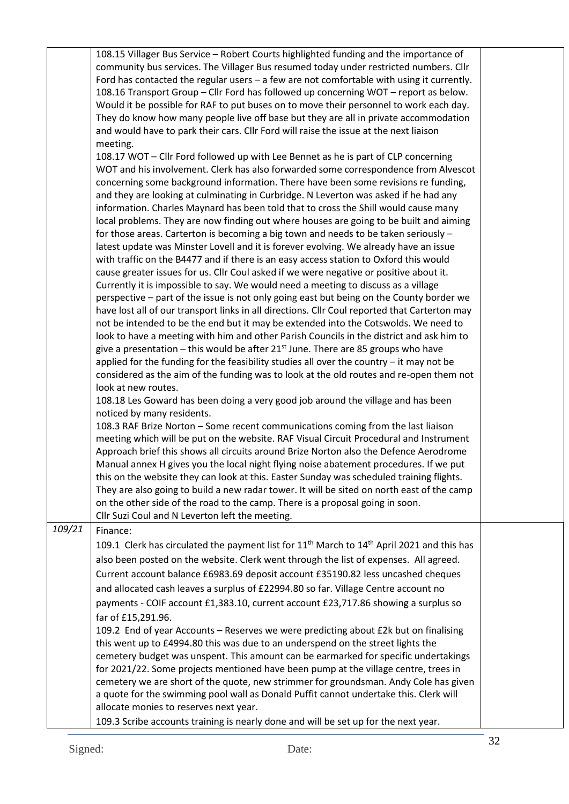|        | 108.15 Villager Bus Service - Robert Courts highlighted funding and the importance of                              |  |  |
|--------|--------------------------------------------------------------------------------------------------------------------|--|--|
|        | community bus services. The Villager Bus resumed today under restricted numbers. Cllr                              |  |  |
|        | Ford has contacted the regular users $-$ a few are not comfortable with using it currently.                        |  |  |
|        | 108.16 Transport Group - Cllr Ford has followed up concerning WOT - report as below.                               |  |  |
|        | Would it be possible for RAF to put buses on to move their personnel to work each day.                             |  |  |
|        | They do know how many people live off base but they are all in private accommodation                               |  |  |
|        | and would have to park their cars. Cllr Ford will raise the issue at the next liaison                              |  |  |
|        | meeting.                                                                                                           |  |  |
|        | 108.17 WOT - Cllr Ford followed up with Lee Bennet as he is part of CLP concerning                                 |  |  |
|        |                                                                                                                    |  |  |
|        | WOT and his involvement. Clerk has also forwarded some correspondence from Alvescot                                |  |  |
|        | concerning some background information. There have been some revisions re funding,                                 |  |  |
|        | and they are looking at culminating in Curbridge. N Leverton was asked if he had any                               |  |  |
|        | information. Charles Maynard has been told that to cross the Shill would cause many                                |  |  |
|        | local problems. They are now finding out where houses are going to be built and aiming                             |  |  |
|        | for those areas. Carterton is becoming a big town and needs to be taken seriously -                                |  |  |
|        | latest update was Minster Lovell and it is forever evolving. We already have an issue                              |  |  |
|        | with traffic on the B4477 and if there is an easy access station to Oxford this would                              |  |  |
|        | cause greater issues for us. Cllr Coul asked if we were negative or positive about it.                             |  |  |
|        | Currently it is impossible to say. We would need a meeting to discuss as a village                                 |  |  |
|        | perspective - part of the issue is not only going east but being on the County border we                           |  |  |
|        | have lost all of our transport links in all directions. Cllr Coul reported that Carterton may                      |  |  |
|        | not be intended to be the end but it may be extended into the Cotswolds. We need to                                |  |  |
|        | look to have a meeting with him and other Parish Councils in the district and ask him to                           |  |  |
|        | give a presentation – this would be after $21st$ June. There are 85 groups who have                                |  |  |
|        | applied for the funding for the feasibility studies all over the country $-$ it may not be                         |  |  |
|        | considered as the aim of the funding was to look at the old routes and re-open them not                            |  |  |
|        | look at new routes.                                                                                                |  |  |
|        | 108.18 Les Goward has been doing a very good job around the village and has been                                   |  |  |
|        | noticed by many residents.                                                                                         |  |  |
|        | 108.3 RAF Brize Norton - Some recent communications coming from the last liaison                                   |  |  |
|        | meeting which will be put on the website. RAF Visual Circuit Procedural and Instrument                             |  |  |
|        | Approach brief this shows all circuits around Brize Norton also the Defence Aerodrome                              |  |  |
|        | Manual annex H gives you the local night flying noise abatement procedures. If we put                              |  |  |
|        | this on the website they can look at this. Easter Sunday was scheduled training flights.                           |  |  |
|        | They are also going to build a new radar tower. It will be sited on north east of the camp                         |  |  |
|        | on the other side of the road to the camp. There is a proposal going in soon.                                      |  |  |
|        | Cllr Suzi Coul and N Leverton left the meeting.                                                                    |  |  |
| 109/21 | Finance:                                                                                                           |  |  |
|        |                                                                                                                    |  |  |
|        | 109.1 Clerk has circulated the payment list for 11 <sup>th</sup> March to 14 <sup>th</sup> April 2021 and this has |  |  |
|        | also been posted on the website. Clerk went through the list of expenses. All agreed.                              |  |  |
|        | Current account balance £6983.69 deposit account £35190.82 less uncashed cheques                                   |  |  |
|        | and allocated cash leaves a surplus of £22994.80 so far. Village Centre account no                                 |  |  |
|        | payments - COIF account £1,383.10, current account £23,717.86 showing a surplus so                                 |  |  |
|        | far of £15,291.96.                                                                                                 |  |  |
|        | 109.2 End of year Accounts - Reserves we were predicting about £2k but on finalising                               |  |  |
|        | this went up to £4994.80 this was due to an underspend on the street lights the                                    |  |  |
|        |                                                                                                                    |  |  |
|        | cemetery budget was unspent. This amount can be earmarked for specific undertakings                                |  |  |
|        | for 2021/22. Some projects mentioned have been pump at the village centre, trees in                                |  |  |
|        | cemetery we are short of the quote, new strimmer for groundsman. Andy Cole has given                               |  |  |
|        | a quote for the swimming pool wall as Donald Puffit cannot undertake this. Clerk will                              |  |  |
|        | allocate monies to reserves next year.                                                                             |  |  |
|        | 109.3 Scribe accounts training is nearly done and will be set up for the next year.                                |  |  |